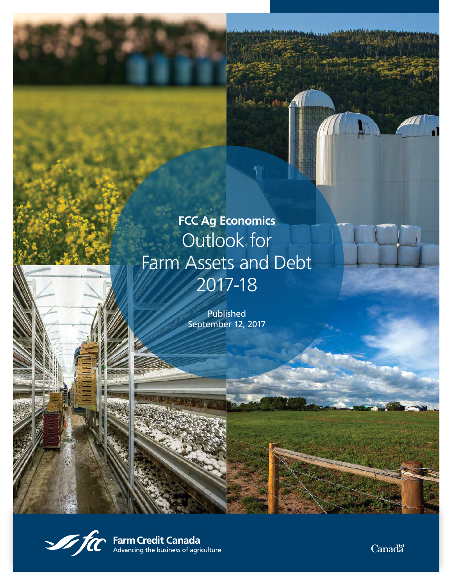# **FCC Ag Economics** Outlook for Farm Assets and Debt 2017-18

shows.

Published September 12, 2017



**Sam Credit Canada**<br>Advancing the business of agriculture

**Canada**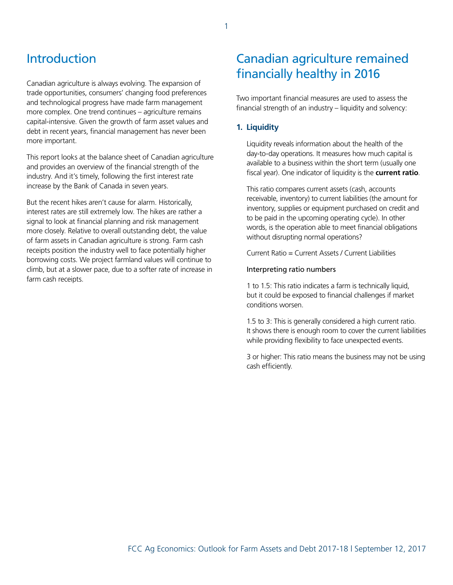# Introduction

Canadian agriculture is always evolving. The expansion of trade opportunities, consumers' changing food preferences and technological progress have made farm management more complex. One trend continues – agriculture remains capital-intensive. Given the growth of farm asset values and debt in recent years, financial management has never been more important.

This report looks at the balance sheet of Canadian agriculture and provides an overview of the financial strength of the industry. And it's timely, following the first interest rate increase by the Bank of Canada in seven years.

But the recent hikes aren't cause for alarm. Historically, interest rates are still extremely low. The hikes are rather a signal to look at financial planning and risk management more closely. Relative to overall outstanding debt, the value of farm assets in Canadian agriculture is strong. Farm cash receipts position the industry well to face potentially higher borrowing costs. We project farmland values will continue to climb, but at a slower pace, due to a softer rate of increase in farm cash receipts.

# Canadian agriculture remained financially healthy in 2016

Two important financial measures are used to assess the financial strength of an industry – liquidity and solvency:

# **1. Liquidity**

Liquidity reveals information about the health of the day-to-day operations. It measures how much capital is available to a business within the short term (usually one fiscal year). One indicator of liquidity is the **current ratio**.

This ratio compares current assets (cash, accounts receivable, inventory) to current liabilities (the amount for inventory, supplies or equipment purchased on credit and to be paid in the upcoming operating cycle). In other words, is the operation able to meet financial obligations without disrupting normal operations?

Current Ratio = Current Assets / Current Liabilities

#### Interpreting ratio numbers

1 to 1.5: This ratio indicates a farm is technically liquid, but it could be exposed to financial challenges if market conditions worsen.

1.5 to 3: This is generally considered a high current ratio. It shows there is enough room to cover the current liabilities while providing flexibility to face unexpected events.

3 or higher: This ratio means the business may not be using cash efficiently.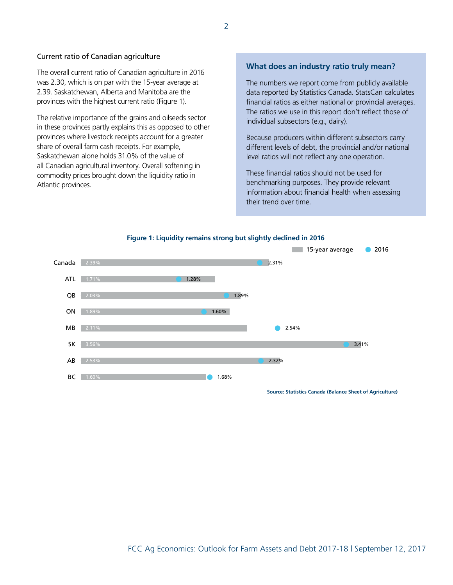#### Current ratio of Canadian agriculture

The overall current ratio of Canadian agriculture in 2016 was 2.30, which is on par with the 15-year average at 2.39. Saskatchewan, Alberta and Manitoba are the provinces with the highest current ratio (Figure 1).

The relative importance of the grains and oilseeds sector in these provinces partly explains this as opposed to other provinces where livestock receipts account for a greater share of overall farm cash receipts. For example, Saskatchewan alone holds 31.0% of the value of all Canadian agricultural inventory. Overall softening in commodity prices brought down the liquidity ratio in Atlantic provinces.

## **What does an industry ratio truly mean?**

The numbers we report come from publicly available data reported by Statistics Canada. StatsCan calculates financial ratios as either national or provincial averages. The ratios we use in this report don't reflect those of individual subsectors (e.g., dairy).

Because producers within different subsectors carry different levels of debt, the provincial and/or national level ratios will not reflect any one operation.

These financial ratios should not be used for benchmarking purposes. They provide relevant information about financial health when assessing their trend over time.



**Figure 1: Liquidity remains strong but slightly declined in 2016**

**Source: Statistics Canada (Balance Sheet of Agriculture)**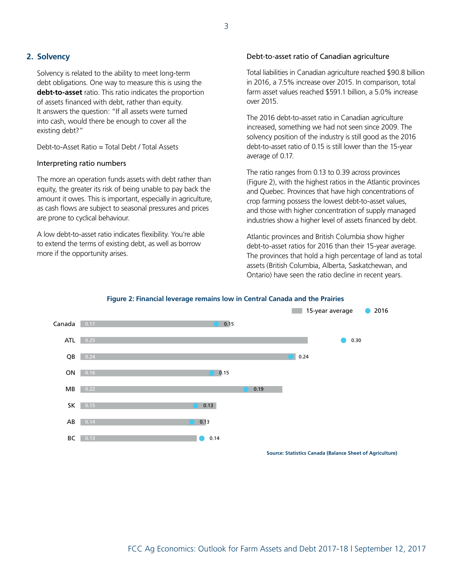# **2. Solvency**

Solvency is related to the ability to meet long-term debt obligations. One way to measure this is using the **debt-to-asset** ratio. This ratio indicates the proportion of assets financed with debt, rather than equity. It answers the question: "If all assets were turned into cash, would there be enough to cover all the existing debt?"

Debt-to-Asset Ratio = Total Debt / Total Assets

#### Interpreting ratio numbers

The more an operation funds assets with debt rather than equity, the greater its risk of being unable to pay back the amount it owes. This is important, especially in agriculture, as cash flows are subject to seasonal pressures and prices are prone to cyclical behaviour.

A low debt-to-asset ratio indicates flexibility. You're able to extend the terms of existing debt, as well as borrow more if the opportunity arises.

#### Debt-to-asset ratio of Canadian agriculture

Total liabilities in Canadian agriculture reached \$90.8 billion in 2016, a 7.5% increase over 2015. In comparison, total farm asset values reached \$591.1 billion, a 5.0% increase over 2015.

The 2016 debt-to-asset ratio in Canadian agriculture increased, something we had not seen since 2009. The solvency position of the industry is still good as the 2016 debt-to-asset ratio of 0.15 is still lower than the 15-year average of 0.17.

The ratio ranges from 0.13 to 0.39 across provinces (Figure 2), with the highest ratios in the Atlantic provinces and Quebec. Provinces that have high concentrations of crop farming possess the lowest debt-to-asset values, and those with higher concentration of supply managed industries show a higher level of assets financed by debt.

Atlantic provinces and British Columbia show higher debt-to-asset ratios for 2016 than their 15-year average. The provinces that hold a high percentage of land as total assets (British Columbia, Alberta, Saskatchewan, and Ontario) have seen the ratio decline in recent years.



#### **Figure 2: Financial leverage remains low in Central Canada and the Prairies**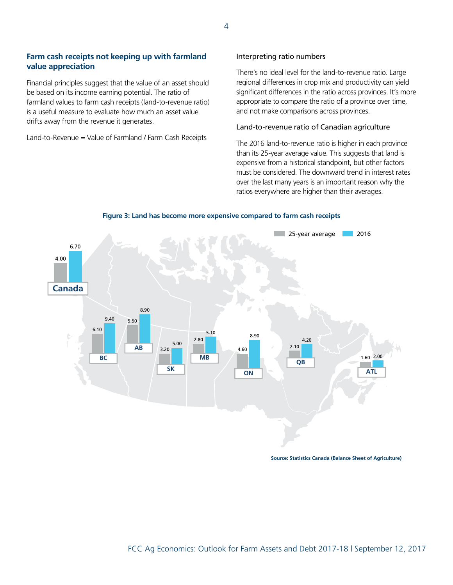# **Farm cash receipts not keeping up with farmland value appreciation**

Financial principles suggest that the value of an asset should be based on its income earning potential. The ratio of farmland values to farm cash receipts (land-to-revenue ratio) is a useful measure to evaluate how much an asset value drifts away from the revenue it generates.

Land-to-Revenue = Value of Farmland / Farm Cash Receipts

#### Interpreting ratio numbers

There's no ideal level for the land-to-revenue ratio. Large regional differences in crop mix and productivity can yield significant differences in the ratio across provinces. It's more appropriate to compare the ratio of a province over time, and not make comparisons across provinces.

#### Land-to-revenue ratio of Canadian agriculture

The 2016 land-to-revenue ratio is higher in each province than its 25-year average value. This suggests that land is expensive from a historical standpoint, but other factors must be considered. The downward trend in interest rates over the last many years is an important reason why the ratios everywhere are higher than their averages.

**Figure 3: Land has become more expensive compared to farm cash receipts**



**Source: Statistics Canada (Balance Sheet of Agriculture)**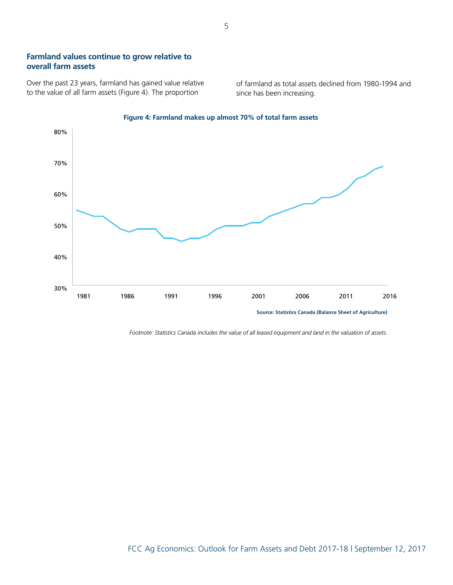# **Farmland values continue to grow relative to overall farm assets**

Over the past 23 years, farmland has gained value relative to the value of all farm assets (Figure 4). The proportion

of farmland as total assets declined from 1980-1994 and since has been increasing.



#### **Figure 4: Farmland makes up almost 70% of total farm assets**

*Footnote: Statistics Canada includes the value of all leased equipment and land in the valuation of assets.*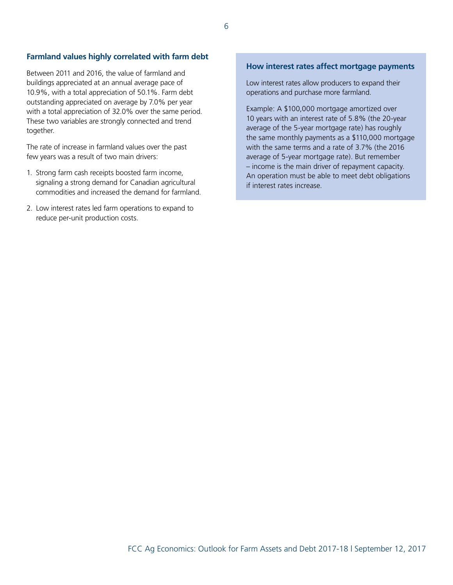# **Farmland values highly correlated with farm debt**

Between 2011 and 2016, the value of farmland and buildings appreciated at an annual average pace of 10.9%, with a total appreciation of 50.1%. Farm debt outstanding appreciated on average by 7.0% per year with a total appreciation of 32.0% over the same period. These two variables are strongly connected and trend together.

The rate of increase in farmland values over the past few years was a result of two main drivers:

- 1. Strong farm cash receipts boosted farm income, signaling a strong demand for Canadian agricultural commodities and increased the demand for farmland.
- 2. Low interest rates led farm operations to expand to reduce per-unit production costs.

## **How interest rates affect mortgage payments**

Low interest rates allow producers to expand their operations and purchase more farmland.

Example: A \$100,000 mortgage amortized over 10 years with an interest rate of 5.8% (the 20-year average of the 5-year mortgage rate) has roughly the same monthly payments as a \$110,000 mortgage with the same terms and a rate of 3.7% (the 2016 average of 5-year mortgage rate). But remember – income is the main driver of repayment capacity. An operation must be able to meet debt obligations if interest rates increase.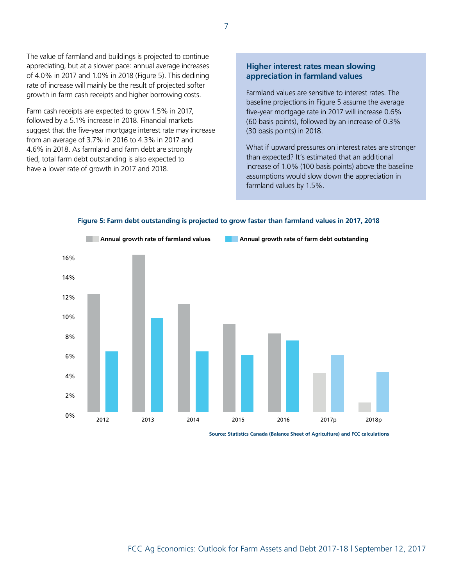The value of farmland and buildings is projected to continue appreciating, but at a slower pace: annual average increases of 4.0% in 2017 and 1.0% in 2018 (Figure 5). This declining rate of increase will mainly be the result of projected softer growth in farm cash receipts and higher borrowing costs.

Farm cash receipts are expected to grow 1.5% in 2017, followed by a 5.1% increase in 2018. Financial markets suggest that the five-year mortgage interest rate may increase from an average of 3.7% in 2016 to 4.3% in 2017 and 4.6% in 2018. As farmland and farm debt are strongly tied, total farm debt outstanding is also expected to have a lower rate of growth in 2017 and 2018.

# **Higher interest rates mean slowing appreciation in farmland values**

Farmland values are sensitive to interest rates. The baseline projections in Figure 5 assume the average five-year mortgage rate in 2017 will increase 0.6% (60 basis points), followed by an increase of 0.3% (30 basis points) in 2018.

What if upward pressures on interest rates are stronger than expected? It's estimated that an additional increase of 1.0% (100 basis points) above the baseline assumptions would slow down the appreciation in farmland values by 1.5%.



**Figure 5: Farm debt outstanding is projected to grow faster than farmland values in 2017, 2018**

**Source: Statistics Canada (Balance Sheet of Agriculture) and FCC calculations**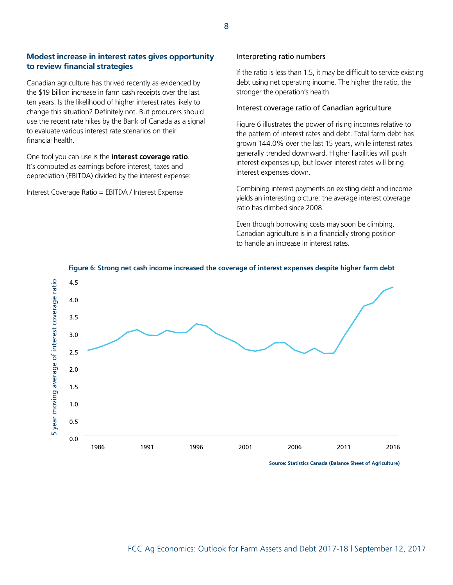# **Modest increase in interest rates gives opportunity to review financial strategies**

Canadian agriculture has thrived recently as evidenced by the \$19 billion increase in farm cash receipts over the last ten years. Is the likelihood of higher interest rates likely to change this situation? Definitely not. But producers should use the recent rate hikes by the Bank of Canada as a signal to evaluate various interest rate scenarios on their financial health.

One tool you can use is the **interest coverage ratio**. It's computed as earnings before interest, taxes and depreciation (EBITDA) divided by the interest expense:

Interest Coverage Ratio = EBITDA / Interest Expense

#### Interpreting ratio numbers

If the ratio is less than 1.5, it may be difficult to service existing debt using net operating income. The higher the ratio, the stronger the operation's health.

#### Interest coverage ratio of Canadian agriculture

Figure 6 illustrates the power of rising incomes relative to the pattern of interest rates and debt. Total farm debt has grown 144.0% over the last 15 years, while interest rates generally trended downward. Higher liabilities will push interest expenses up, but lower interest rates will bring interest expenses down.

Combining interest payments on existing debt and income yields an interesting picture: the average interest coverage ratio has climbed since 2008.

Even though borrowing costs may soon be climbing, Canadian agriculture is in a financially strong position to handle an increase in interest rates.



#### **Figure 6: Strong net cash income increased the coverage of interest expenses despite higher farm debt**

**Source: Statistics Canada (Balance Sheet of Agriculture)**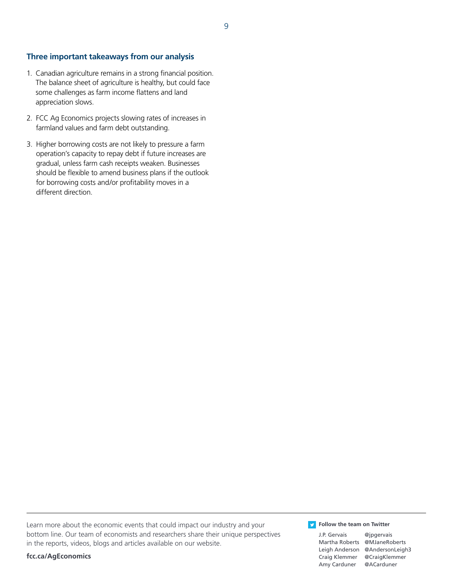## **Three important takeaways from our analysis**

- 1. Canadian agriculture remains in a strong financial position. The balance sheet of agriculture is healthy, but could face some challenges as farm income flattens and land appreciation slows.
- 2. FCC Ag Economics projects slowing rates of increases in farmland values and farm debt outstanding.
- 3. Higher borrowing costs are not likely to pressure a farm operation's capacity to repay debt if future increases are gradual, unless farm cash receipts weaken. Businesses should be flexible to amend business plans if the outlook for borrowing costs and/or profitability moves in a different direction.

Learn more about the economic events that could impact our industry and your bottom line. Our team of economists and researchers share their unique perspectives in the reports, videos, blogs and articles available on our website.

**[fcc.ca/AgEconomic](https://www.fcc-fac.ca/en/ag-knowledge/ag-economist.html)s**

**Follow the team on Twitter** 

[Martha Roberts @MJaneRoberts](https://twitter.com/MJaneRoberts) [Leigh Anderson @AndersonLeigh3](https://twitter.com/AndersonLeigh3)  [Craig Klemmer @CraigKlemmer](https://twitter.com/CraigKlemmer) [Amy Carduner @ACarduner](https://twitter.com/ACarduner)

[J.P. Gervais @jpgervais](https://twitter.com/jpgervais)